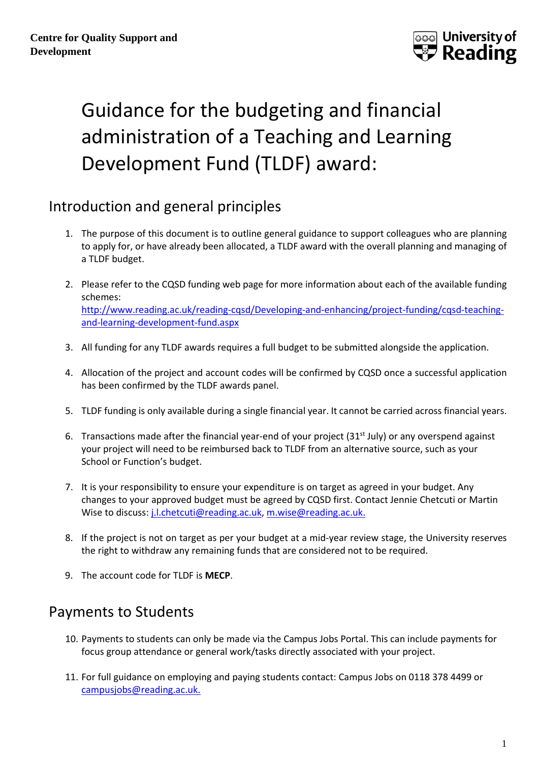

# Guidance for the budgeting and financial administration of a Teaching and Learning Development Fund (TLDF) award:

## Introduction and general principles

- 1. The purpose of this document is to outline general guidance to support colleagues who are planning to apply for, or have already been allocated, a TLDF award with the overall planning and managing of a TLDF budget.
- 2. Please refer to the CQSD funding web page for more information about each of the available funding schemes: [http://www.reading.ac.uk/reading-cqsd/Developing-and-enhancing/project-funding/cqsd-teaching](http://www.reading.ac.uk/reading-cqsd/Developing-and-enhancing/project-funding/cqsd-teaching-and-learning-development-fund.aspx)[and-learning-development-fund.aspx](http://www.reading.ac.uk/reading-cqsd/Developing-and-enhancing/project-funding/cqsd-teaching-and-learning-development-fund.aspx)
- 3. All funding for any TLDF awards requires a full budget to be submitted alongside the application.
- 4. Allocation of the project and account codes will be confirmed by CQSD once a successful application has been confirmed by the TLDF awards panel.
- 5. TLDF funding is only available during a single financial year. It cannot be carried across financial years.
- 6. Transactions made after the financial year-end of your project ( $31<sup>st</sup>$  July) or any overspend against your project will need to be reimbursed back to TLDF from an alternative source, such as your School or Function's budget.
- 7. It is your responsibility to ensure your expenditure is on target as agreed in your budget. Any changes to your approved budget must be agreed by CQSD first. Contact Jennie Chetcuti or Martin Wise to discuss: [j.l.chetcuti@reading.ac.uk,](mailto:j.l.chetcuti@reading.ac.uk) [m.wise@reading.ac.uk.](mailto:m.wise@reading.ac.uk)
- 8. If the project is not on target as per your budget at a mid-year review stage, the University reserves the right to withdraw any remaining funds that are considered not to be required.
- 9. The account code for TLDF is **MECP**.

## Payments to Students

- 10. Payments to students can only be made via the Campus Jobs Portal. This can include payments for focus group attendance or general work/tasks directly associated with your project.
- 11. For full guidance on employing and paying students contact: Campus Jobs on 0118 378 4499 or [campusjobs@reading.ac.uk.](mailto:campusjobs@reading.ac.uk)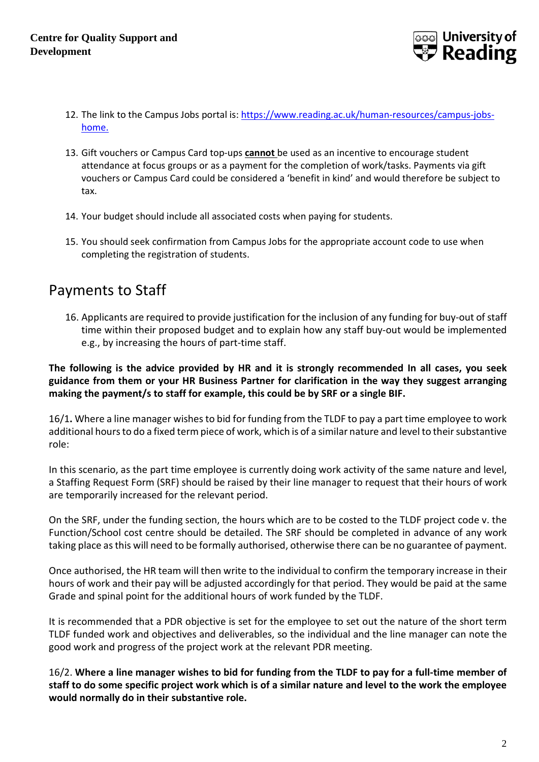

- 12. The link to the Campus Jobs portal is: [https://www.reading.ac.uk/human-resources/campus-jobs](https://www.reading.ac.uk/human-resources/campus-jobs-home)[home.](https://www.reading.ac.uk/human-resources/campus-jobs-home)
- 13. Gift vouchers or Campus Card top-ups **cannot** be used as an incentive to encourage student attendance at focus groups or as a payment for the completion of work/tasks. Payments via gift vouchers or Campus Card could be considered a 'benefit in kind' and would therefore be subject to tax.
- 14. Your budget should include all associated costs when paying for students.
- 15. You should seek confirmation from Campus Jobs for the appropriate account code to use when completing the registration of students.

### Payments to Staff

16. Applicants are required to provide justification for the inclusion of any funding for buy-out of staff time within their proposed budget and to explain how any staff buy-out would be implemented e.g., by increasing the hours of part-time staff.

**The following is the advice provided by HR and it is strongly recommended In all cases, you seek guidance from them or your HR Business Partner for clarification in the way they suggest arranging making the payment/s to staff for example, this could be by SRF or a single BIF.**

16/1**.** Where a line manager wishes to bid for funding from the TLDF to pay a part time employee to work additional hours to do a fixed term piece of work, which is of a similar nature and level to their substantive role:

In this scenario, as the part time employee is currently doing work activity of the same nature and level, a Staffing Request Form (SRF) should be raised by their line manager to request that their hours of work are temporarily increased for the relevant period.

On the SRF, under the funding section, the hours which are to be costed to the TLDF project code v. the Function/School cost centre should be detailed. The SRF should be completed in advance of any work taking place as this will need to be formally authorised, otherwise there can be no guarantee of payment.

Once authorised, the HR team will then write to the individual to confirm the temporary increase in their hours of work and their pay will be adjusted accordingly for that period. They would be paid at the same Grade and spinal point for the additional hours of work funded by the TLDF.

It is recommended that a PDR objective is set for the employee to set out the nature of the short term TLDF funded work and objectives and deliverables, so the individual and the line manager can note the good work and progress of the project work at the relevant PDR meeting.

16/2. **Where a line manager wishes to bid for funding from the TLDF to pay for a full-time member of staff to do some specific project work which is of a similar nature and level to the work the employee would normally do in their substantive role.**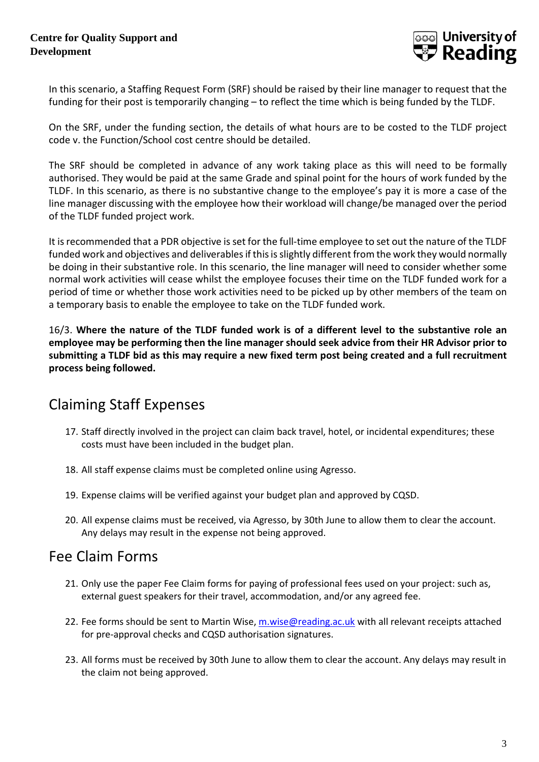

In this scenario, a Staffing Request Form (SRF) should be raised by their line manager to request that the funding for their post is temporarily changing – to reflect the time which is being funded by the TLDF.

On the SRF, under the funding section, the details of what hours are to be costed to the TLDF project code v. the Function/School cost centre should be detailed.

The SRF should be completed in advance of any work taking place as this will need to be formally authorised. They would be paid at the same Grade and spinal point for the hours of work funded by the TLDF. In this scenario, as there is no substantive change to the employee's pay it is more a case of the line manager discussing with the employee how their workload will change/be managed over the period of the TLDF funded project work.

It is recommended that a PDR objective is set for the full-time employee to set out the nature of the TLDF funded work and objectives and deliverables if this is slightly different from the work they would normally be doing in their substantive role. In this scenario, the line manager will need to consider whether some normal work activities will cease whilst the employee focuses their time on the TLDF funded work for a period of time or whether those work activities need to be picked up by other members of the team on a temporary basis to enable the employee to take on the TLDF funded work.

16/3. **Where the nature of the TLDF funded work is of a different level to the substantive role an employee may be performing then the line manager should seek advice from their HR Advisor prior to submitting a TLDF bid as this may require a new fixed term post being created and a full recruitment process being followed.**

## Claiming Staff Expenses

- 17. Staff directly involved in the project can claim back travel, hotel, or incidental expenditures; these costs must have been included in the budget plan.
- 18. All staff expense claims must be completed online using Agresso.
- 19. Expense claims will be verified against your budget plan and approved by CQSD.
- 20. All expense claims must be received, via Agresso, by 30th June to allow them to clear the account. Any delays may result in the expense not being approved.

#### Fee Claim Forms

- 21. Only use the paper Fee Claim forms for paying of professional fees used on your project: such as, external guest speakers for their travel, accommodation, and/or any agreed fee.
- 22. Fee forms should be sent to Martin Wise, [m.wise@reading.ac.uk](mailto:m.wise@reading.ac.uk) with all relevant receipts attached for pre-approval checks and CQSD authorisation signatures.
- 23. All forms must be received by 30th June to allow them to clear the account. Any delays may result in the claim not being approved.